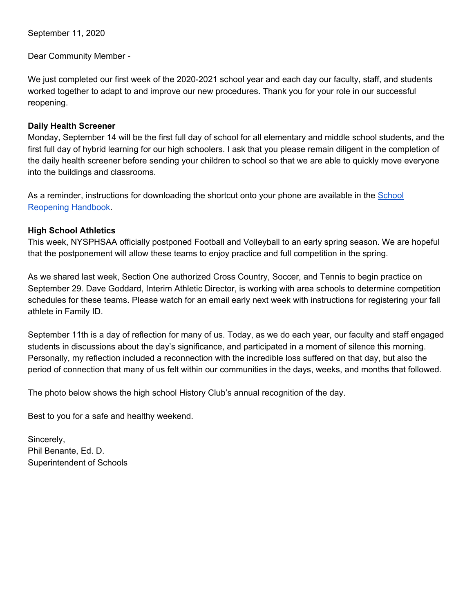September 11, 2020

Dear Community Member -

We just completed our first week of the 2020-2021 school year and each day our faculty, staff, and students worked together to adapt to and improve our new procedures. Thank you for your role in our successful reopening.

## **Daily Health Screener**

Monday, September 14 will be the first full day of school for all elementary and middle school students, and the first full day of hybrid learning for our high schoolers. I ask that you please remain diligent in the completion of the daily health screener before sending your children to school so that we are able to quickly move everyone into the buildings and classrooms.

As a reminder, instructions for downloading the shortcut onto your phone are available in the [School](https://docs.google.com/document/d/19sGK1Ak7gDOhyxlDnJxQ9CUdyE4wfd4Jb10kAWQRhRY/edit) [Reopening](https://docs.google.com/document/d/19sGK1Ak7gDOhyxlDnJxQ9CUdyE4wfd4Jb10kAWQRhRY/edit) Handbook.

## **High School Athletics**

This week, NYSPHSAA officially postponed Football and Volleyball to an early spring season. We are hopeful that the postponement will allow these teams to enjoy practice and full competition in the spring.

As we shared last week, Section One authorized Cross Country, Soccer, and Tennis to begin practice on September 29. Dave Goddard, Interim Athletic Director, is working with area schools to determine competition schedules for these teams. Please watch for an email early next week with instructions for registering your fall athlete in Family ID.

September 11th is a day of reflection for many of us. Today, as we do each year, our faculty and staff engaged students in discussions about the day's significance, and participated in a moment of silence this morning. Personally, my reflection included a reconnection with the incredible loss suffered on that day, but also the period of connection that many of us felt within our communities in the days, weeks, and months that followed.

The photo below shows the high school History Club's annual recognition of the day.

Best to you for a safe and healthy weekend.

Sincerely, Phil Benante, Ed. D. Superintendent of Schools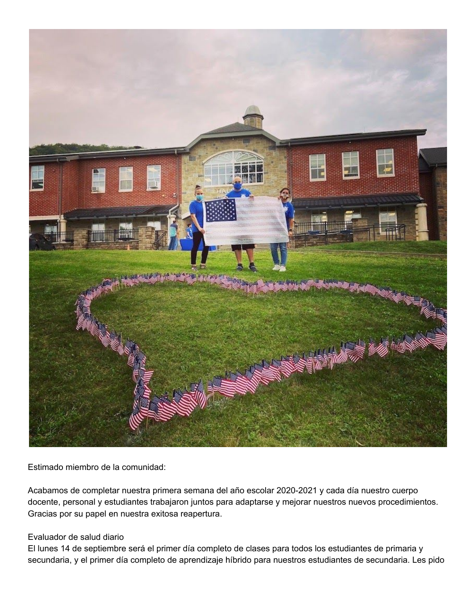

Estimado miembro de la comunidad:

Acabamos de completar nuestra primera semana del año escolar 2020-2021 y cada día nuestro cuerpo docente, personal y estudiantes trabajaron juntos para adaptarse y mejorar nuestros nuevos procedimientos. Gracias por su papel en nuestra exitosa reapertura.

## Evaluador de salud diario

El lunes 14 de septiembre será el primer día completo de clases para todos los estudiantes de primaria y secundaria, y el primer día completo de aprendizaje híbrido para nuestros estudiantes de secundaria. Les pido